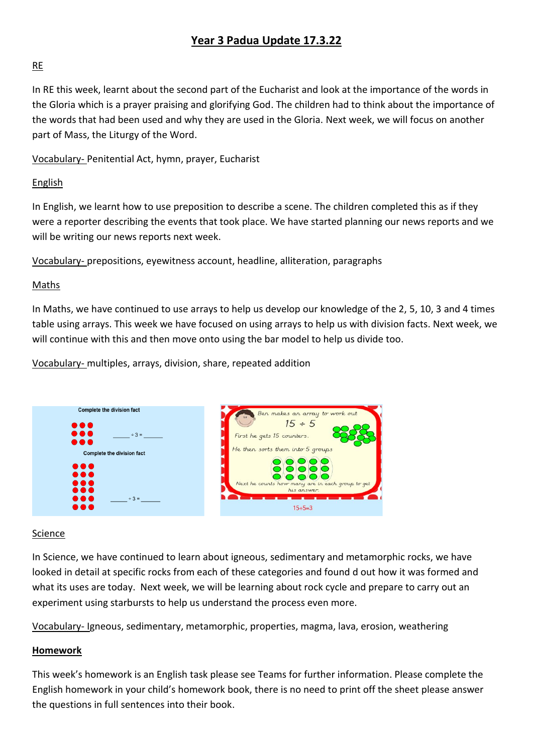# **Year 3 Padua Update 17.3.22**

## RE

In RE this week, learnt about the second part of the Eucharist and look at the importance of the words in the Gloria which is a prayer praising and glorifying God. The children had to think about the importance of the words that had been used and why they are used in the Gloria. Next week, we will focus on another part of Mass, the Liturgy of the Word.

Vocabulary- Penitential Act, hymn, prayer, Eucharist

## English

In English, we learnt how to use preposition to describe a scene. The children completed this as if they were a reporter describing the events that took place. We have started planning our news reports and we will be writing our news reports next week.

Vocabulary- prepositions, eyewitness account, headline, alliteration, paragraphs

## Maths

In Maths, we have continued to use arrays to help us develop our knowledge of the 2, 5, 10, 3 and 4 times table using arrays. This week we have focused on using arrays to help us with division facts. Next week, we will continue with this and then move onto using the bar model to help us divide too.

Vocabulary- multiples, arrays, division, share, repeated addition



#### Science

In Science, we have continued to learn about igneous, sedimentary and metamorphic rocks, we have looked in detail at specific rocks from each of these categories and found d out how it was formed and what its uses are today. Next week, we will be learning about rock cycle and prepare to carry out an experiment using starbursts to help us understand the process even more.

Vocabulary- Igneous, sedimentary, metamorphic, properties, magma, lava, erosion, weathering

## **Homework**

This week's homework is an English task please see Teams for further information. Please complete the English homework in your child's homework book, there is no need to print off the sheet please answer the questions in full sentences into their book.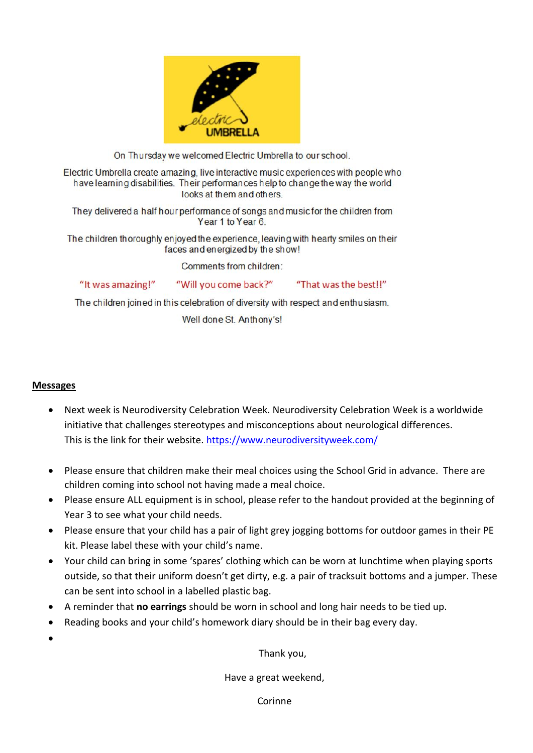

On Thursday we welcomed Electric Umbrella to our school.

Electric Umbrella create amazing, live interactive music experiences with people who have learning disabilities. Their performances help to change the way the world looks at them and others.

They delivered a half hour performance of songs and music for the children from Year 1 to Year 6.

The children thoroughly enjoyed the experience, leaving with hearty smiles on their faces and energized by the show!

Comments from children:

"It was amazing!"

"That was the best!!"

The children joined in this celebration of diversity with respect and enthusiasm.

"Will you come back?"

Well done St. Anthony's!

#### **Messages**

- Next week is Neurodiversity Celebration Week. Neurodiversity Celebration Week is a worldwide initiative that challenges stereotypes and misconceptions about neurological differences. This is the link for their website.<https://www.neurodiversityweek.com/>
- Please ensure that children make their meal choices using the School Grid in advance. There are children coming into school not having made a meal choice.
- Please ensure ALL equipment is in school, please refer to the handout provided at the beginning of Year 3 to see what your child needs.
- Please ensure that your child has a pair of light grey jogging bottoms for outdoor games in their PE kit. Please label these with your child's name.
- Your child can bring in some 'spares' clothing which can be worn at lunchtime when playing sports outside, so that their uniform doesn't get dirty, e.g. a pair of tracksuit bottoms and a jumper. These can be sent into school in a labelled plastic bag.
- A reminder that **no earrings** should be worn in school and long hair needs to be tied up.
- Reading books and your child's homework diary should be in their bag every day.
- $\bullet$

Thank you,

Have a great weekend,

Corinne